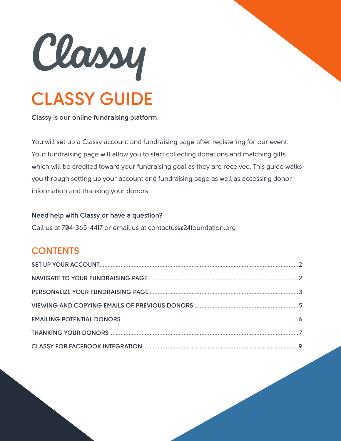

**Classy is our online fundraising platform.** 

You will set up a Classy account and fundraising page after registering for our event. Your fundraising page will allow you to start collecting donations and matching gifts which will be credited toward your fundraising goal as they are received. This guide walks you through setting up your account and fundraising page as well as accessing donor information and thanking your donors.

### **Need help with Classy or have a question?**

Call us at 704-365-4417 or email us at contactus@24foundation.org

### **CONTENTS**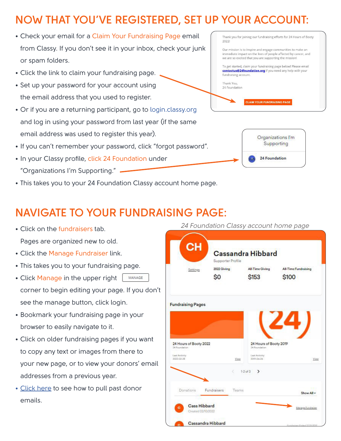# <span id="page-1-0"></span>**NOW THAT YOU'VE REGISTERED, SET UP YOUR ACCOUNT:**

- Check your email for a Claim Your Fundraising Page email from Classy. If you don't see it in your inbox, check your junk or spam folders.
- Click the link to claim your fundraising page.
- Set up your password for your account using the email address that you used to register.
- Or if you are a returning participant, go to<login.classy.org> and log in using your password from last year (if the same email address was used to register this year).
- If you can't remember your password, click "forgot password".
- In your Classy profile, click 24 Foundation under "Organizations I'm Supporting."
- This takes you to your 24 Foundation Classy account home page.

Thank you for joining our fundraising efforts for 24 Hours of Booty 2022 Our mission is to inspire and engage communities to make an immediate impact on the lives of people affected by cancer, and we are so excited that you are supporting the mission! To get started, claim your fundraising page below! Please email contactus@24foundation.org if you need any help with your

fundraising account. Thank You. 24 Foundation

**CLAIM YOUR FUNDRAISING PAGE** 



# **NAVIGATE TO YOUR FUNDRAISING PAGE:**

- Click on the fundraisers tab. Pages are organized new to old.
- Click the Manage Fundraiser link.
- This takes you to your fundraising page.
- Click Manage in the upper right MANAGE corner to begin editing your page. If you don't see the manage button, click login.
- Bookmark your fundraising page in your browser to easily navigate to it.
- Click on older fundraising pages if you want to copy any text or images from there to your new page, or to view your donors' email addresses from a previous year.
- [Click here to](#page-4-0) see how to pull past donor emails.

24 Foundation Classy account home page

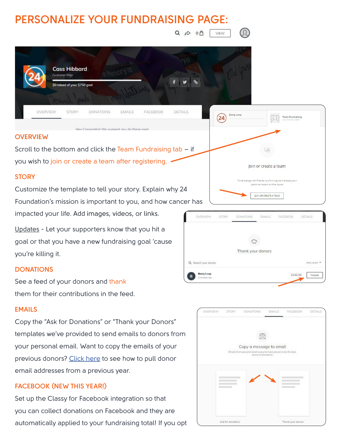# <span id="page-2-0"></span>**PERSONALIZE YOUR FUNDRAISING PAGE:**

 $Q \phi 0$ VIEW



#### **OVERVIEW**

Scroll to the bottom and click the Team Fundraising tab  $-$  if you wish to join or create a team after registering.  $\cdot$ 

Hey Cassandra! We suggest you do these next

#### **STORY**

Customize the template to tell your story. Explain why 24 Foundation's mission is important to you, and how cancer has impacted your life. Add images, videos, or links.

Updates - Let your supporters know that you hit a goal or that you have a new fundraising goal 'cause you're killing it.

### **DONATIONS**

See a feed of your donors and thank them for their contributions in the feed.

### **EMAILS**

Copy the "Ask for Donations" or "Thank your Donors" templates we've provided to send emails to donors from your personal email. Want to copy the emails of your previous donors? [Click here](#page-8-0) to see how to pull donor email addresses from a previous year.

### **FACEBOOK (NEW THIS YEAR!)**

Set up the Classy for Facebook integration so that you can collect donations on Facebook and they are automatically applied to your fundraising total! If you opt





Join or create a team

vith friends is a fun way to increase your positive impact on the cause JOIN OR CREATE A TEAM

**Team Fundraising**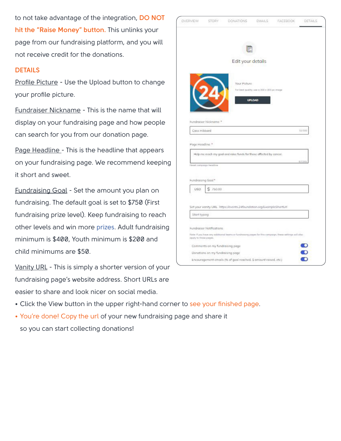to not take advantage of the integration, **DO NOT hit the "Raise Money" button.** This unlinks your page from our fundraising platform, and you will not receive credit for the donations.

#### **DETAILS**

Profile Picture - Use the Upload button to change your profile picture.

Fundraiser Nickname - This is the name that will display on your fundraising page and how people can search for you from our donation page.

Page Headline - This is the headline that appears on your fundraising page. We recommend keeping it short and sweet.

Fundraising Goal - Set the amount you plan on fundraising. The default goal is set to \$750 (First fundraising prize level). Keep fundraising to reach other levels and win more prizes. Adult fundraising minimum is \$400, Youth minimum is \$200 and child minimums are \$50.

Vanity URL - This is simply a shorter version of your fundraising page's website address. Short URLs are easier to share and look nicer on social media.

| OVERVIEW              | <b>STORY</b>                     | DONATIONS                                                                                                | EMAILS                                                           | FACEBOOK | DETAILS |
|-----------------------|----------------------------------|----------------------------------------------------------------------------------------------------------|------------------------------------------------------------------|----------|---------|
|                       |                                  |                                                                                                          |                                                                  |          |         |
|                       |                                  | Edit your details                                                                                        |                                                                  |          |         |
|                       |                                  | Your Picture.                                                                                            | her best quality, use a 300 x 300 px image<br>UPLOAD             |          |         |
| Cass Hibbard          | Fundraiser Nickname *            |                                                                                                          |                                                                  |          | 12/100  |
| Page Headline."       |                                  | Help me reach my goal and raise funds for those affected by cancer.                                      |                                                                  |          |         |
| Fundraising Goal*     | <b>Flexet compagn headline</b>   |                                                                                                          |                                                                  |          | 8205    |
| USD                   | 750.00                           |                                                                                                          |                                                                  |          |         |
| Start typing          |                                  | Set your vanity URL https://events.24foundation.org/ExampleShortLirl                                     |                                                                  |          |         |
| opply to those pages. | Fundraiser Notifications         | Note: If you have any additional teams or fundrowing pages for this comparint, these settings will also- |                                                                  |          |         |
|                       | Comments on my fundraising page  |                                                                                                          |                                                                  |          |         |
|                       | Donations on my fundraising page |                                                                                                          |                                                                  |          |         |
|                       |                                  |                                                                                                          | Encouragement emails (% of goal reached, \$ amount raised, etc.) |          | O       |

- Click the View button in the upper right-hand corner to see your finished page.
- You're done! Copy the url of your new fundraising page and share it so you can start collecting donations!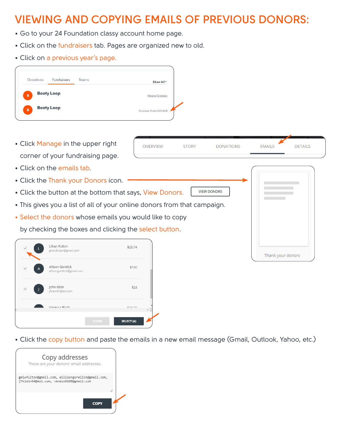### <span id="page-4-0"></span>**VIEWING AND COPYING EMAILS OF PREVIOUS DONORS:**

- Go to your 24 Foundation classy account home page.
- Click on the fundraisers tab. Pages are organized new to old.
- Click on a previous year's page.

• Click Manage in the upper right corner of your fundraising page.

• Click the Thank your Donors icon.

• Click on the emails tab.

**OVERVIEW STORY DONATIONS EMAILS DETAILS VIEW DONORS** • Click the button at the bottom that says, View Donors. • This gives you a list of all of your online donors from that campaign. • Select the donors whose emails you would like to copy

Thank your donors

by checking the boxes and clicking the select button.



• Click the copy button and paste the emails in a new email message (Gmail, Outlook, Yahoo, etc.)

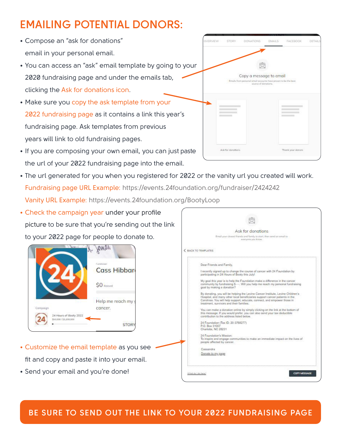# <span id="page-5-0"></span>**EMAILING POTENTIAL DONORS:**

- Compose an "ask for donations" email in your personal email.
- You can access an "ask" email template by going to your 2020 fundraising page and under the emails tab, clicking the Ask for donations icon.
- Make sure you copy the ask template from your 2022 fundraising page as it contains a link this year's fundraising page. Ask templates from previous years will link to old fundraising pages.
- If you are composing your own email, you can just paste the url of your 2022 fundraising page into the email.
- The url generated for you when you registered for 2022 or the vanity url you created will work. Fundraising page URL Example: https://events.24foundation.org/fundraiser/2424242 Vanity URL Example: https://events.24foundation.org/BootyLoop
- Check the campaign year under your profile picture to be sure that you're sending out the link to your 2022 page for people to donate to.



- Customize the email template as you see fit and copy and paste it into your email.
- Send your email and you're done!

|                          | Ask for donations                                                                                                                                                                                                                                                                       |
|--------------------------|-----------------------------------------------------------------------------------------------------------------------------------------------------------------------------------------------------------------------------------------------------------------------------------------|
|                          | Email your closest friends and family to start, then send an email to<br>everyone you know.                                                                                                                                                                                             |
| <b>BACK TO TEMPLATES</b> |                                                                                                                                                                                                                                                                                         |
|                          | Dear Friends and Family,                                                                                                                                                                                                                                                                |
|                          | I recently signed up to change the course of cancer with 24 Foundation by<br>participating in 24 Hours of Booty this July!                                                                                                                                                              |
|                          | My goal this year is to help the Foundation make a difference in the cancer<br>community by fundraising \$- Will you help me reach my personal fundraising<br>goal by making a donation?                                                                                                |
|                          | By donating, you will be helping the Levine Carrcer Institute, Levine Children's<br>Hospital, and many other local beneficiaries support cancer patients in the<br>Carolinas. You will help support, educate, connect, and empower those in<br>treatment, survivors and their families. |
|                          | You can make a donation online by simply clicking on the link at the bottom of<br>this message. If you would prefer, you can also send your tax-deductible<br>contribution to the address listed below.                                                                                 |
| P.O. Box 31007           | 24 Foundation (Tax ID: 20-3768277)<br>Charlotte, NC 28231                                                                                                                                                                                                                               |
|                          | 24 Foundation's Mission:<br>To inspire and engage communities to make an immediate impact on the lives of<br>people affected by cancer.                                                                                                                                                 |
| Cassandra                |                                                                                                                                                                                                                                                                                         |
|                          | Donate to my page                                                                                                                                                                                                                                                                       |
|                          |                                                                                                                                                                                                                                                                                         |



### **BE SURE TO SEND OUT THE LINK TO YOUR 2022 FUNDRAISING PAGE**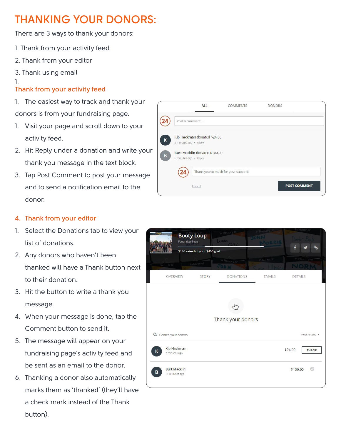# <span id="page-6-0"></span>**THANKING YOUR DONORS:**

There are 3 ways to thank your donors:

- 1. Thank from your activity feed
- 2. Thank from your editor
- 3. Thank using email

### 1.

### **Thank from your activity feed**

1. The easiest way to track and thank your donors is from your fundraising page.

- 1. Visit your page and scroll down to your activity feed.
- 2. Hit Reply under a donation and write your thank you message in the text block.
- 3. Tap Post Comment to post your message and to send a notification email to the donor.

### **4. Thank from your editor**

- 1. Select the Donations tab to view your list of donations.
- 2. Any donors who haven't been thanked will have a Thank button next to their donation.
- 3. Hit the button to write a thank you message.
- 4. When your message is done, tap the Comment button to send it.
- 5. The message will appear on your fundraising page's activity feed and be sent as an email to the donor.
- 6. Thanking a donor also automatically marks them as 'thanked' (they'll have a check mark instead of the Thank button).



|                           | <b>Booty Loop</b><br><b>Fundraiser Page</b> |                                 | In Messory of<br>Linda |               |                                        |
|---------------------------|---------------------------------------------|---------------------------------|------------------------|---------------|----------------------------------------|
|                           |                                             | \$124 raised of your \$400 goal |                        |               |                                        |
| in a or of                |                                             | In Honor of                     | In Memory of           | In hussen of  |                                        |
|                           | OVERVIEW                                    | <b>STORY</b>                    | <b>DONATIONS</b>       | <b>EMAILS</b> | <b>DETAILS</b>                         |
|                           |                                             |                                 |                        |               |                                        |
|                           |                                             |                                 | Thank your donors      |               |                                        |
| Q Search your donors<br>K | Kip Hackman<br>7 minutes ago                |                                 |                        |               | Most recent<br>\$24.00<br><b>THANK</b> |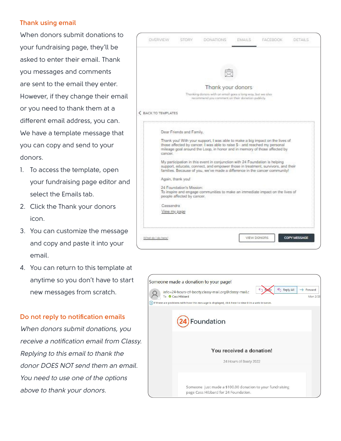#### **Thank using email**

When donors submit donations to your fundraising page, they'll be asked to enter their email. Thank you messages and comments are sent to the email they enter. However, if they change their email or you need to thank them at a different email address, you can. We have a template message that you can copy and send to your donors.

- 1. To access the template, open your fundraising page editor and select the Emails tab.
- 2. Click the Thank your donors icon.
- 3. You can customize the message and copy and paste it into your email.
- 4. You can return to this template at anytime so you don't have to start new messages from scratch.

#### **Do not reply to notification emails**

When donors submit donations, you receive a notification email from Classy. Replying to this email to thank the donor DOES NOT send them an email. You need to use one of the options above to thank your donors.